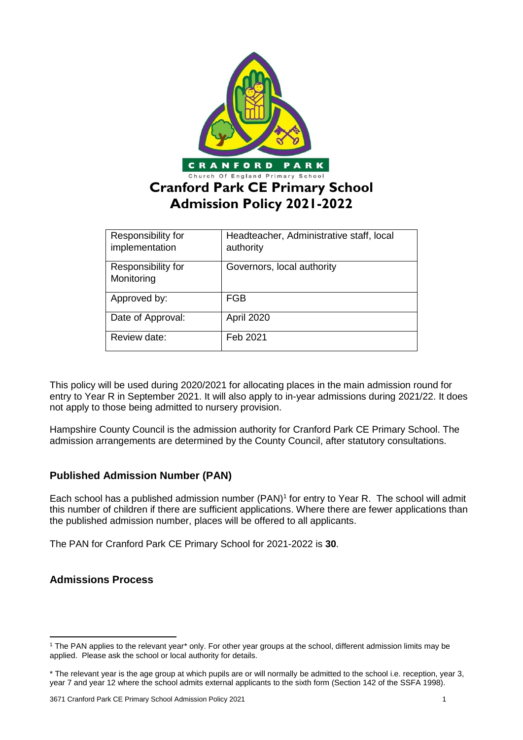

| Responsibility for<br>implementation | Headteacher, Administrative staff, local<br>authority |
|--------------------------------------|-------------------------------------------------------|
| Responsibility for<br>Monitoring     | Governors, local authority                            |
| Approved by:                         | FGB                                                   |
| Date of Approval:                    | April 2020                                            |
| Review date:                         | Feb 2021                                              |

This policy will be used during 2020/2021 for allocating places in the main admission round for entry to Year R in September 2021. It will also apply to in-year admissions during 2021/22. It does not apply to those being admitted to nursery provision.

Hampshire County Council is the admission authority for Cranford Park CE Primary School. The admission arrangements are determined by the County Council, after statutory consultations.

# **Published Admission Number (PAN)**

Each school has a published admission number (PAN)<sup>1</sup> for entry to Year R. The school will admit this number of children if there are sufficient applications. Where there are fewer applications than the published admission number, places will be offered to all applicants.

The PAN for Cranford Park CE Primary School for 2021-2022 is **30**.

# **Admissions Process**

**.** 

<sup>1</sup> The PAN applies to the relevant year\* only. For other year groups at the school, different admission limits may be applied. Please ask the school or local authority for details.

<sup>\*</sup> The relevant year is the age group at which pupils are or will normally be admitted to the school i.e. reception, year 3, year 7 and year 12 where the school admits external applicants to the sixth form (Section 142 of the SSFA 1998).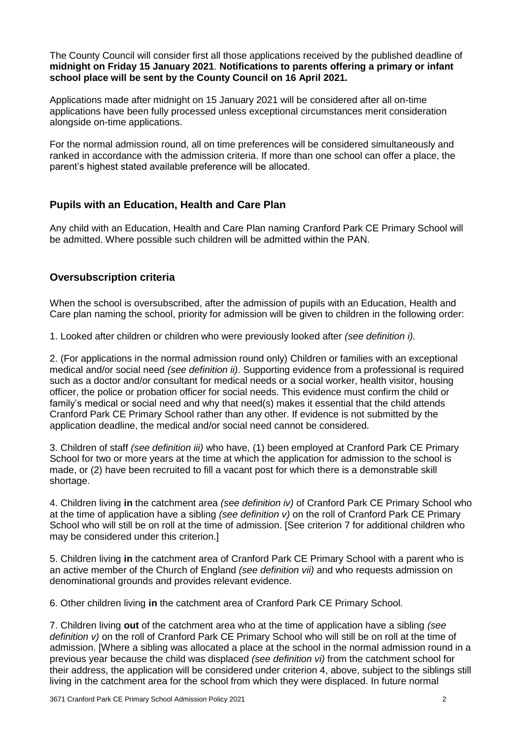The County Council will consider first all those applications received by the published deadline of **midnight on Friday 15 January 2021**. **Notifications to parents offering a primary or infant school place will be sent by the County Council on 16 April 2021.**

Applications made after midnight on 15 January 2021 will be considered after all on-time applications have been fully processed unless exceptional circumstances merit consideration alongside on-time applications.

For the normal admission round, all on time preferences will be considered simultaneously and ranked in accordance with the admission criteria. If more than one school can offer a place, the parent's highest stated available preference will be allocated.

# **Pupils with an Education, Health and Care Plan**

Any child with an Education, Health and Care Plan naming Cranford Park CE Primary School will be admitted. Where possible such children will be admitted within the PAN.

# **Oversubscription criteria**

When the school is oversubscribed, after the admission of pupils with an Education, Health and Care plan naming the school, priority for admission will be given to children in the following order:

1. Looked after children or children who were previously looked after *(see definition i).* 

2. (For applications in the normal admission round only) Children or families with an exceptional medical and/or social need *(see definition ii)*. Supporting evidence from a professional is required such as a doctor and/or consultant for medical needs or a social worker, health visitor, housing officer, the police or probation officer for social needs. This evidence must confirm the child or family's medical or social need and why that need(s) makes it essential that the child attends Cranford Park CE Primary School rather than any other. If evidence is not submitted by the application deadline, the medical and/or social need cannot be considered.

3. Children of staff *(see definition iii)* who have, (1) been employed at Cranford Park CE Primary School for two or more years at the time at which the application for admission to the school is made, or (2) have been recruited to fill a vacant post for which there is a demonstrable skill shortage.

4. Children living **in** the catchment area *(see definition iv)* of Cranford Park CE Primary School who at the time of application have a sibling *(see definition v)* on the roll of Cranford Park CE Primary School who will still be on roll at the time of admission. [See criterion 7 for additional children who may be considered under this criterion.]

5. Children living **in** the catchment area of Cranford Park CE Primary School with a parent who is an active member of the Church of England *(see definition vii)* and who requests admission on denominational grounds and provides relevant evidence.

6. Other children living **in** the catchment area of Cranford Park CE Primary School*.*

7. Children living **out** of the catchment area who at the time of application have a sibling *(see definition v)* on the roll of Cranford Park CE Primary School who will still be on roll at the time of admission. [Where a sibling was allocated a place at the school in the normal admission round in a previous year because the child was displaced *(see definition vi)* from the catchment school for their address, the application will be considered under criterion 4, above, subject to the siblings still living in the catchment area for the school from which they were displaced. In future normal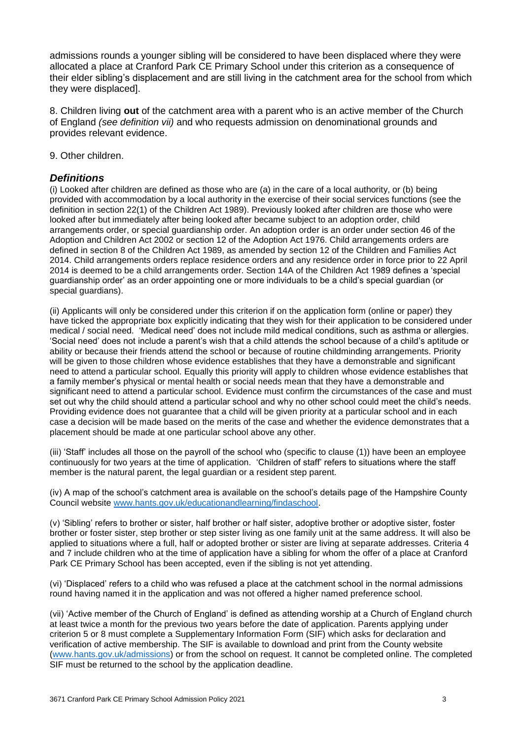admissions rounds a younger sibling will be considered to have been displaced where they were allocated a place at Cranford Park CE Primary School under this criterion as a consequence of their elder sibling's displacement and are still living in the catchment area for the school from which they were displaced].

8. Children living **out** of the catchment area with a parent who is an active member of the Church of England *(see definition vii)* and who requests admission on denominational grounds and provides relevant evidence.

9. Other children.

## *Definitions*

(i) Looked after children are defined as those who are (a) in the care of a local authority, or (b) being provided with accommodation by a local authority in the exercise of their social services functions (see the definition in section 22(1) of the Children Act 1989). Previously looked after children are those who were looked after but immediately after being looked after became subject to an adoption order, child arrangements order, or special guardianship order. An adoption order is an order under section 46 of the Adoption and Children Act 2002 or section 12 of the Adoption Act 1976. Child arrangements orders are defined in section 8 of the Children Act 1989, as amended by section 12 of the Children and Families Act 2014. Child arrangements orders replace residence orders and any residence order in force prior to 22 April 2014 is deemed to be a child arrangements order. Section 14A of the Children Act 1989 defines a 'special guardianship order' as an order appointing one or more individuals to be a child's special guardian (or special guardians).

(ii) Applicants will only be considered under this criterion if on the application form (online or paper) they have ticked the appropriate box explicitly indicating that they wish for their application to be considered under medical / social need. 'Medical need' does not include mild medical conditions, such as asthma or allergies. 'Social need' does not include a parent's wish that a child attends the school because of a child's aptitude or ability or because their friends attend the school or because of routine childminding arrangements. Priority will be given to those children whose evidence establishes that they have a demonstrable and significant need to attend a particular school. Equally this priority will apply to children whose evidence establishes that a family member's physical or mental health or social needs mean that they have a demonstrable and significant need to attend a particular school. Evidence must confirm the circumstances of the case and must set out why the child should attend a particular school and why no other school could meet the child's needs. Providing evidence does not guarantee that a child will be given priority at a particular school and in each case a decision will be made based on the merits of the case and whether the evidence demonstrates that a placement should be made at one particular school above any other.

(iii) 'Staff' includes all those on the payroll of the school who (specific to clause (1)) have been an employee continuously for two years at the time of application. 'Children of staff' refers to situations where the staff member is the natural parent, the legal guardian or a resident step parent.

(iv) A map of the school's catchment area is available on the school's details page of the Hampshire County Council website [www.hants.gov.uk/educationandlearning/findaschool.](http://www.hants.gov.uk/educationandlearning/findaschool)

(v) 'Sibling' refers to brother or sister, half brother or half sister, adoptive brother or adoptive sister, foster brother or foster sister, step brother or step sister living as one family unit at the same address. It will also be applied to situations where a full, half or adopted brother or sister are living at separate addresses. Criteria 4 and 7 include children who at the time of application have a sibling for whom the offer of a place at Cranford Park CE Primary School has been accepted, even if the sibling is not yet attending.

(vi) 'Displaced' refers to a child who was refused a place at the catchment school in the normal admissions round having named it in the application and was not offered a higher named preference school.

(vii) 'Active member of the Church of England' is defined as attending worship at a Church of England church at least twice a month for the previous two years before the date of application. Parents applying under criterion 5 or 8 must complete a Supplementary Information Form (SIF) which asks for declaration and verification of active membership. The SIF is available to download and print from the County website [\(www.hants.gov.uk/admissions\)](http://www.hants.gov.uk/admissions) or from the school on request. It cannot be completed online. The completed SIF must be returned to the school by the application deadline.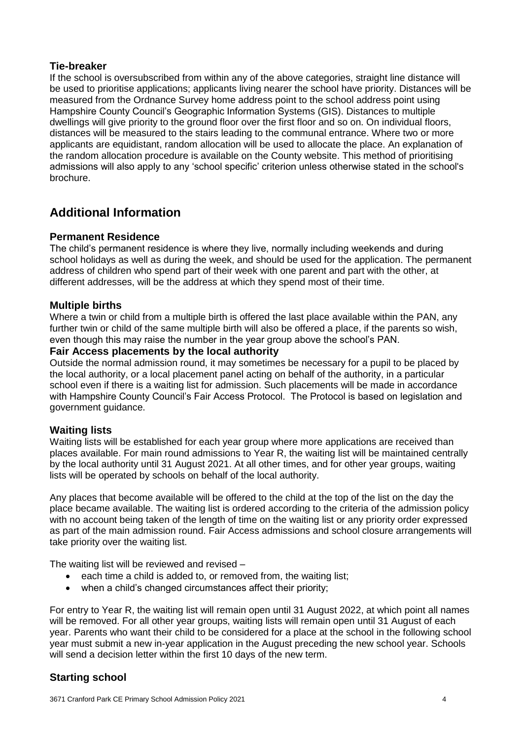## **Tie-breaker**

If the school is oversubscribed from within any of the above categories, straight line distance will be used to prioritise applications; applicants living nearer the school have priority. Distances will be measured from the Ordnance Survey home address point to the school address point using Hampshire County Council's Geographic Information Systems (GIS). Distances to multiple dwellings will give priority to the ground floor over the first floor and so on. On individual floors, distances will be measured to the stairs leading to the communal entrance. Where two or more applicants are equidistant, random allocation will be used to allocate the place. An explanation of the random allocation procedure is available on the County website. This method of prioritising admissions will also apply to any 'school specific' criterion unless otherwise stated in the school's brochure.

# **Additional Information**

#### **Permanent Residence**

The child's permanent residence is where they live, normally including weekends and during school holidays as well as during the week, and should be used for the application. The permanent address of children who spend part of their week with one parent and part with the other, at different addresses, will be the address at which they spend most of their time.

## **Multiple births**

Where a twin or child from a multiple birth is offered the last place available within the PAN, any further twin or child of the same multiple birth will also be offered a place, if the parents so wish, even though this may raise the number in the year group above the school's PAN.

#### **Fair Access placements by the local authority**

Outside the normal admission round, it may sometimes be necessary for a pupil to be placed by the local authority, or a local placement panel acting on behalf of the authority, in a particular school even if there is a waiting list for admission. Such placements will be made in accordance with Hampshire County Council's Fair Access Protocol. The Protocol is based on legislation and government guidance.

#### **Waiting lists**

Waiting lists will be established for each year group where more applications are received than places available. For main round admissions to Year R, the waiting list will be maintained centrally by the local authority until 31 August 2021. At all other times, and for other year groups, waiting lists will be operated by schools on behalf of the local authority.

Any places that become available will be offered to the child at the top of the list on the day the place became available. The waiting list is ordered according to the criteria of the admission policy with no account being taken of the length of time on the waiting list or any priority order expressed as part of the main admission round. Fair Access admissions and school closure arrangements will take priority over the waiting list.

The waiting list will be reviewed and revised –

- each time a child is added to, or removed from, the waiting list;
- when a child's changed circumstances affect their priority;

For entry to Year R, the waiting list will remain open until 31 August 2022, at which point all names will be removed. For all other year groups, waiting lists will remain open until 31 August of each year. Parents who want their child to be considered for a place at the school in the following school year must submit a new in-year application in the August preceding the new school year. Schools will send a decision letter within the first 10 days of the new term.

# **Starting school**